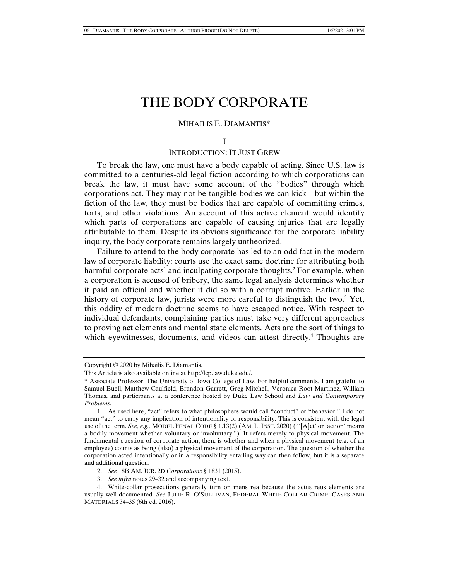# THE BODY CORPORATE

#### MIHAILIS E. DIAMANTIS\*

# INTRODUCTION: IT JUST GREW

To break the law, one must have a body capable of acting. Since U.S. law is committed to a centuries-old legal fiction according to which corporations can break the law, it must have some account of the "bodies" through which corporations act. They may not be tangible bodies we can kick—but within the fiction of the law, they must be bodies that are capable of committing crimes, torts, and other violations. An account of this active element would identify which parts of corporations are capable of causing injuries that are legally attributable to them. Despite its obvious significance for the corporate liability inquiry, the body corporate remains largely untheorized.

Failure to attend to the body corporate has led to an odd fact in the modern law of corporate liability: courts use the exact same doctrine for attributing both harmful corporate acts<sup>1</sup> and inculpating corporate thoughts.<sup>2</sup> For example, when a corporation is accused of bribery, the same legal analysis determines whether it paid an official and whether it did so with a corrupt motive. Earlier in the history of corporate law, jurists were more careful to distinguish the two.<sup>3</sup> Yet, this oddity of modern doctrine seems to have escaped notice. With respect to individual defendants, complaining parties must take very different approaches to proving act elements and mental state elements. Acts are the sort of things to which eyewitnesses, documents, and videos can attest directly.<sup>4</sup> Thoughts are

I

Copyright © 2020 by Mihailis E. Diamantis.

This Article is also available online at http://lcp.law.duke.edu/.

<sup>\*</sup> Associate Professor, The University of Iowa College of Law. For helpful comments, I am grateful to Samuel Buell, Matthew Caulfield, Brandon Garrett, Greg Mitchell, Veronica Root Martinez, William Thomas, and participants at a conference hosted by Duke Law School and *Law and Contemporary Problems*.

 <sup>1.</sup> As used here, "act" refers to what philosophers would call "conduct" or "behavior." I do not mean "act" to carry any implication of intentionality or responsibility. This is consistent with the legal use of the term. *See, e.g.*, MODEL PENAL CODE § 1.13(2) (AM. L. INST. 2020) ("'[A]ct' or 'action' means a bodily movement whether voluntary or involuntary."). It refers merely to physical movement. The fundamental question of corporate action, then, is whether and when a physical movement (e.g. of an employee) counts as being (also) a physical movement of the corporation. The question of whether the corporation acted intentionally or in a responsibility entailing way can then follow, but it is a separate and additional question.

 <sup>2.</sup> *See* 18B AM. JUR. 2D *Corporations* § 1831 (2015).

 <sup>3.</sup> *See infra* notes 29–32 and accompanying text.

 <sup>4.</sup> White-collar prosecutions generally turn on mens rea because the actus reus elements are usually well-documented. *See* JULIE R. O'SULLIVAN, FEDERAL WHITE COLLAR CRIME: CASES AND MATERIALS 34–35 (6th ed. 2016).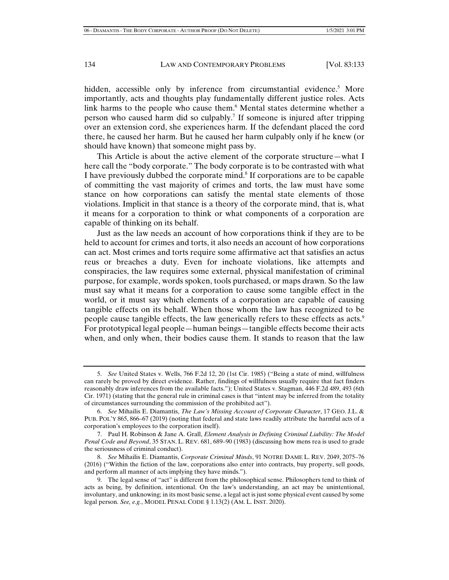hidden, accessible only by inference from circumstantial evidence.<sup>5</sup> More importantly, acts and thoughts play fundamentally different justice roles. Acts link harms to the people who cause them.<sup>6</sup> Mental states determine whether a person who caused harm did so culpably.7 If someone is injured after tripping over an extension cord, she experiences harm. If the defendant placed the cord there, he caused her harm. But he caused her harm culpably only if he knew (or should have known) that someone might pass by.

This Article is about the active element of the corporate structure—what I here call the "body corporate." The body corporate is to be contrasted with what I have previously dubbed the corporate mind.<sup>8</sup> If corporations are to be capable of committing the vast majority of crimes and torts, the law must have some stance on how corporations can satisfy the mental state elements of those violations. Implicit in that stance is a theory of the corporate mind, that is, what it means for a corporation to think or what components of a corporation are capable of thinking on its behalf.

Just as the law needs an account of how corporations think if they are to be held to account for crimes and torts, it also needs an account of how corporations can act. Most crimes and torts require some affirmative act that satisfies an actus reus or breaches a duty. Even for inchoate violations, like attempts and conspiracies, the law requires some external, physical manifestation of criminal purpose, for example, words spoken, tools purchased, or maps drawn. So the law must say what it means for a corporation to cause some tangible effect in the world, or it must say which elements of a corporation are capable of causing tangible effects on its behalf. When those whom the law has recognized to be people cause tangible effects, the law generically refers to these effects as acts.<sup>9</sup> For prototypical legal people—human beings—tangible effects become their acts when, and only when, their bodies cause them. It stands to reason that the law

 <sup>5.</sup> *See* United States v. Wells, 766 F.2d 12, 20 (1st Cir. 1985) ("Being a state of mind, willfulness can rarely be proved by direct evidence. Rather, findings of willfulness usually require that fact finders reasonably draw inferences from the available facts."); United States v. Stagman, 446 F.2d 489, 493 (6th Cir. 1971) (stating that the general rule in criminal cases is that "intent may be inferred from the totality of circumstances surrounding the commission of the prohibited act").

 <sup>6.</sup> *See* Mihailis E. Diamantis, *The Law's Missing Account of Corporate Character*, 17 GEO. J.L. & PUB. POL'Y 865, 866–67 (2019) (noting that federal and state laws readily attribute the harmful acts of a corporation's employees to the corporation itself).

 <sup>7.</sup> Paul H. Robinson & Jane A. Grall, *Element Analysis in Defining Criminal Liability: The Model Penal Code and Beyond*, 35 STAN. L. REV. 681, 689–90 (1983) (discussing how mens rea is used to grade the seriousness of criminal conduct).

 <sup>8.</sup> *See* Mihailis E. Diamantis, *Corporate Criminal Minds*, 91 NOTRE DAME L. REV. 2049, 2075–76 (2016) ("Within the fiction of the law, corporations also enter into contracts, buy property, sell goods, and perform all manner of acts implying they have minds.").

 <sup>9.</sup> The legal sense of "act" is different from the philosophical sense. Philosophers tend to think of acts as being, by definition, intentional. On the law's understanding, an act may be unintentional, involuntary, and unknowing; in its most basic sense, a legal act is just some physical event caused by some legal person. *See, e.g.*, MODEL PENAL CODE § 1.13(2) (AM. L. INST. 2020).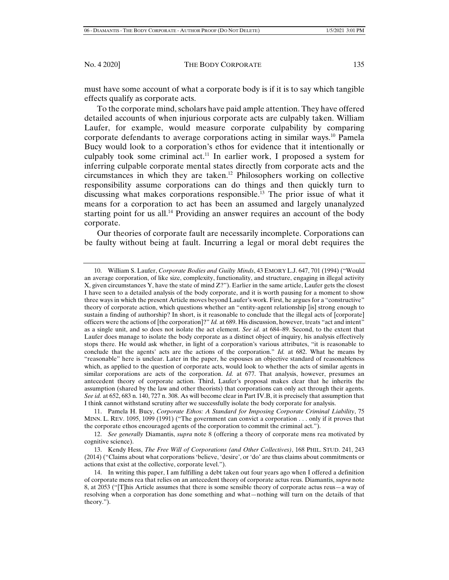must have some account of what a corporate body is if it is to say which tangible effects qualify as corporate acts.

To the corporate mind, scholars have paid ample attention. They have offered detailed accounts of when injurious corporate acts are culpably taken. William Laufer, for example, would measure corporate culpability by comparing corporate defendants to average corporations acting in similar ways.10 Pamela Bucy would look to a corporation's ethos for evidence that it intentionally or culpably took some criminal act.<sup>11</sup> In earlier work, I proposed a system for inferring culpable corporate mental states directly from corporate acts and the circumstances in which they are taken.<sup>12</sup> Philosophers working on collective responsibility assume corporations can do things and then quickly turn to discussing what makes corporations responsible.13 The prior issue of what it means for a corporation to act has been an assumed and largely unanalyzed starting point for us all.<sup>14</sup> Providing an answer requires an account of the body corporate.

Our theories of corporate fault are necessarily incomplete. Corporations can be faulty without being at fault. Incurring a legal or moral debt requires the

 11. Pamela H. Bucy, *Corporate Ethos: A Standard for Imposing Corporate Criminal Liability*, 75 MINN. L. REV. 1095, 1099 (1991) ("The government can convict a corporation . . . only if it proves that the corporate ethos encouraged agents of the corporation to commit the criminal act.").

 13. Kendy Hess, *The Free Will of Corporations (and Other Collectives)*, 168 PHIL. STUD. 241, 243 (2014) ("Claims about what corporations 'believe, 'desire', or 'do' are thus claims about commitments or actions that exist at the collective, corporate level.").

 <sup>10.</sup> William S. Laufer, *Corporate Bodies and Guilty Minds*, 43 EMORY L.J. 647, 701 (1994) ("Would an average corporation, of like size, complexity, functionality, and structure, engaging in illegal activity X, given circumstances Y, have the state of mind Z?"). Earlier in the same article, Laufer gets the closest I have seen to a detailed analysis of the body corporate, and it is worth pausing for a moment to show three ways in which the present Article moves beyond Laufer's work. First, he argues for a "constructive" theory of corporate action, which questions whether an "entity-agent relationship [is] strong enough to sustain a finding of authorship? In short, is it reasonable to conclude that the illegal acts of [corporate] officers were the actions of [the corporation]?" *Id.* at 689. His discussion, however, treats "act and intent" as a single unit, and so does not isolate the act element. *See id*. at 684–89. Second, to the extent that Laufer does manage to isolate the body corporate as a distinct object of inquiry, his analysis effectively stops there. He would ask whether, in light of a corporation's various attributes, "it is reasonable to conclude that the agents' acts are the actions of the corporation." *Id.* at 682. What he means by "reasonable" here is unclear. Later in the paper, he espouses an objective standard of reasonableness which, as applied to the question of corporate acts, would look to whether the acts of similar agents in similar corporations are acts of the corporation. *Id.* at 677. That analysis, however, presumes an antecedent theory of corporate action. Third, Laufer's proposal makes clear that he inherits the assumption (shared by the law and other theorists) that corporations can only act through their agents. *See id.* at 652, 683 n. 140, 727 n. 308. As will become clear in Part IV.B, it is precisely that assumption that I think cannot withstand scrutiny after we successfully isolate the body corporate for analysis.

 <sup>12.</sup> *See generally* Diamantis, *supra* note 8 (offering a theory of corporate mens rea motivated by cognitive science).

 <sup>14.</sup> In writing this paper, I am fulfilling a debt taken out four years ago when I offered a definition of corporate mens rea that relies on an antecedent theory of corporate actus reus. Diamantis, *supra* note 8, at 2053 ("[T]his Article assumes that there is some sensible theory of corporate actus reus—a way of resolving when a corporation has done something and what—nothing will turn on the details of that theory.").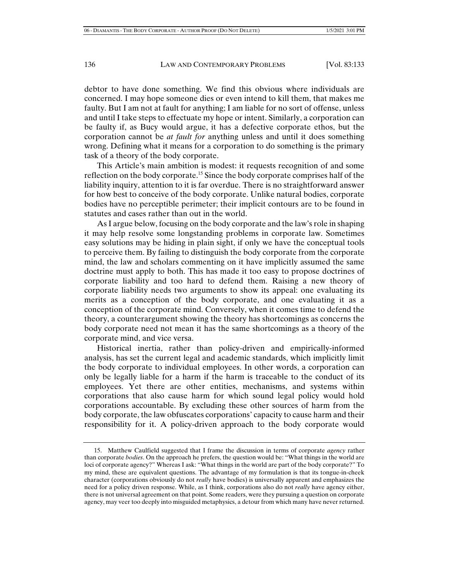debtor to have done something. We find this obvious where individuals are concerned. I may hope someone dies or even intend to kill them, that makes me faulty. But I am not at fault for anything; I am liable for no sort of offense, unless and until I take steps to effectuate my hope or intent. Similarly, a corporation can be faulty if, as Bucy would argue, it has a defective corporate ethos, but the corporation cannot be *at fault for* anything unless and until it does something wrong. Defining what it means for a corporation to do something is the primary task of a theory of the body corporate.

This Article's main ambition is modest: it requests recognition of and some reflection on the body corporate.15 Since the body corporate comprises half of the liability inquiry, attention to it is far overdue. There is no straightforward answer for how best to conceive of the body corporate. Unlike natural bodies, corporate bodies have no perceptible perimeter; their implicit contours are to be found in statutes and cases rather than out in the world.

As I argue below, focusing on the body corporate and the law's role in shaping it may help resolve some longstanding problems in corporate law. Sometimes easy solutions may be hiding in plain sight, if only we have the conceptual tools to perceive them. By failing to distinguish the body corporate from the corporate mind, the law and scholars commenting on it have implicitly assumed the same doctrine must apply to both. This has made it too easy to propose doctrines of corporate liability and too hard to defend them. Raising a new theory of corporate liability needs two arguments to show its appeal: one evaluating its merits as a conception of the body corporate, and one evaluating it as a conception of the corporate mind. Conversely, when it comes time to defend the theory, a counterargument showing the theory has shortcomings as concerns the body corporate need not mean it has the same shortcomings as a theory of the corporate mind, and vice versa.

Historical inertia, rather than policy-driven and empirically-informed analysis, has set the current legal and academic standards, which implicitly limit the body corporate to individual employees. In other words, a corporation can only be legally liable for a harm if the harm is traceable to the conduct of its employees. Yet there are other entities, mechanisms, and systems within corporations that also cause harm for which sound legal policy would hold corporations accountable. By excluding these other sources of harm from the body corporate, the law obfuscates corporations' capacity to cause harm and their responsibility for it. A policy-driven approach to the body corporate would

 <sup>15.</sup> Matthew Caulfield suggested that I frame the discussion in terms of corporate *agency* rather than corporate *bodies*. On the approach he prefers, the question would be: "What things in the world are loci of corporate agency?" Whereas I ask: "What things in the world are part of the body corporate?" To my mind, these are equivalent questions. The advantage of my formulation is that its tongue-in-cheek character (corporations obviously do not *really* have bodies) is universally apparent and emphasizes the need for a policy driven response. While, as I think, corporations also do not *really* have agency either, there is not universal agreement on that point. Some readers, were they pursuing a question on corporate agency, may veer too deeply into misguided metaphysics, a detour from which many have never returned.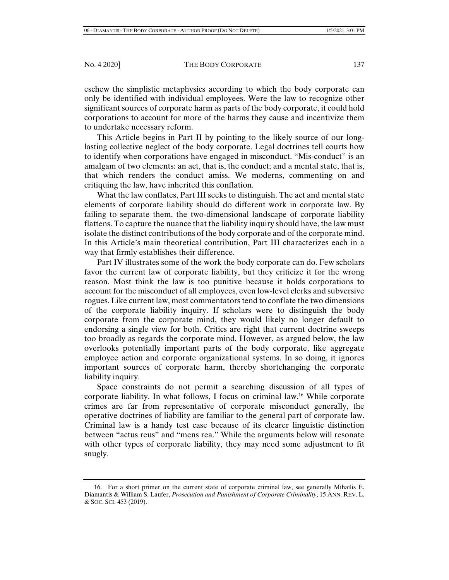eschew the simplistic metaphysics according to which the body corporate can only be identified with individual employees. Were the law to recognize other significant sources of corporate harm as parts of the body corporate, it could hold corporations to account for more of the harms they cause and incentivize them to undertake necessary reform.

This Article begins in Part II by pointing to the likely source of our longlasting collective neglect of the body corporate. Legal doctrines tell courts how to identify when corporations have engaged in misconduct. "Mis-conduct" is an amalgam of two elements: an act, that is, the conduct; and a mental state, that is, that which renders the conduct amiss. We moderns, commenting on and critiquing the law, have inherited this conflation.

What the law conflates, Part III seeks to distinguish. The act and mental state elements of corporate liability should do different work in corporate law. By failing to separate them, the two-dimensional landscape of corporate liability flattens. To capture the nuance that the liability inquiry should have, the law must isolate the distinct contributions of the body corporate and of the corporate mind. In this Article's main theoretical contribution, Part III characterizes each in a way that firmly establishes their difference.

Part IV illustrates some of the work the body corporate can do. Few scholars favor the current law of corporate liability, but they criticize it for the wrong reason. Most think the law is too punitive because it holds corporations to account for the misconduct of all employees, even low-level clerks and subversive rogues. Like current law, most commentators tend to conflate the two dimensions of the corporate liability inquiry. If scholars were to distinguish the body corporate from the corporate mind, they would likely no longer default to endorsing a single view for both. Critics are right that current doctrine sweeps too broadly as regards the corporate mind. However, as argued below, the law overlooks potentially important parts of the body corporate, like aggregate employee action and corporate organizational systems. In so doing, it ignores important sources of corporate harm, thereby shortchanging the corporate liability inquiry.

Space constraints do not permit a searching discussion of all types of corporate liability. In what follows, I focus on criminal law.<sup>16</sup> While corporate crimes are far from representative of corporate misconduct generally, the operative doctrines of liability are familiar to the general part of corporate law. Criminal law is a handy test case because of its clearer linguistic distinction between "actus reus" and "mens rea." While the arguments below will resonate with other types of corporate liability, they may need some adjustment to fit snugly.

 <sup>16.</sup> For a short primer on the current state of corporate criminal law, see generally Mihailis E. Diamantis & William S. Laufer, *Prosecution and Punishment of Corporate Criminality*, 15 ANN. REV. L. & SOC. SCI. 453 (2019).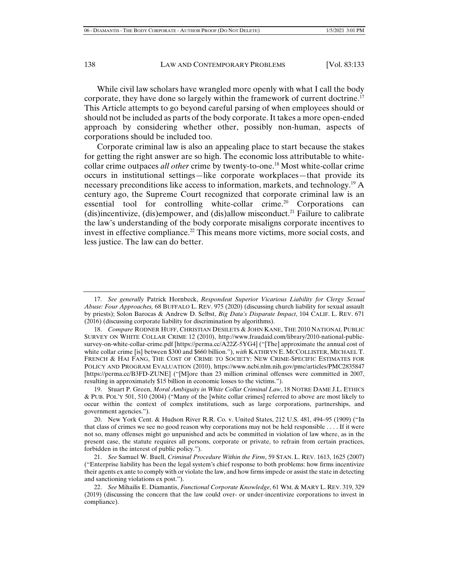While civil law scholars have wrangled more openly with what I call the body corporate, they have done so largely within the framework of current doctrine.17 This Article attempts to go beyond careful parsing of when employees should or should not be included as parts of the body corporate. It takes a more open-ended approach by considering whether other, possibly non-human, aspects of corporations should be included too.

Corporate criminal law is also an appealing place to start because the stakes for getting the right answer are so high. The economic loss attributable to whitecollar crime outpaces *all other* crime by twenty-to-one.18 Most white-collar crime occurs in institutional settings—like corporate workplaces—that provide its necessary preconditions like access to information, markets, and technology.19 A century ago, the Supreme Court recognized that corporate criminal law is an essential tool for controlling white-collar crime.<sup>20</sup> Corporations can (dis)incentivize, (dis)empower, and (dis)allow misconduct.<sup>21</sup> Failure to calibrate the law's understanding of the body corporate misaligns corporate incentives to invest in effective compliance.<sup>22</sup> This means more victims, more social costs, and less justice. The law can do better.

 <sup>17.</sup> *See generally* Patrick Hornbeck, *Respondeat Superior Vicarious Liability for Clergy Sexual Abuse: Four Approaches,* 68 BUFFALO L. REV. 975 (2020) (discussing church liability for sexual assault by priests); Solon Barocas & Andrew D. Selbst, *Big Data's Disparate Impact*, 104 CALIF. L. REV. 671 (2016) (discussing corporate liability for discrimination by algorithms).

 <sup>18.</sup> *Compare* RODNER HUFF, CHRISTIAN DESILETS & JOHN KANE, THE 2010 NATIONAL PUBLIC SURVEY ON WHITE COLLAR CRIME 12 (2010), http://www.fraudaid.com/library/2010-national-publicsurvey-on-white-collar-crime.pdf [https://perma.cc/A22Z-5YG4] ("[The] approximate the annual cost of white collar crime [is] between \$300 and \$660 billion."), *with* KATHRYN E. MCCOLLISTER, MICHAEL T. FRENCH & HAI FANG, THE COST OF CRIME TO SOCIETY: NEW CRIME-SPECIFIC ESTIMATES FOR POLICY AND PROGRAM EVALUATION (2010), https://www.ncbi.nlm.nih.gov/pmc/articles/PMC2835847 [https://perma.cc/B3FD-ZUNE] ("[M]ore than 23 million criminal offenses were committed in 2007, resulting in approximately \$15 billion in economic losses to the victims.").

 <sup>19.</sup> Stuart P. Green, *Moral Ambiguity in White Collar Criminal Law*, 18 NOTRE DAME J.L. ETHICS & PUB. POL'Y 501, 510 (2004) ("Many of the [white collar crimes] referred to above are most likely to occur within the context of complex institutions, such as large corporations, partnerships, and government agencies.").

 <sup>20.</sup> New York Cent. & Hudson River R.R. Co. v. United States, 212 U.S. 481, 494–95 (1909) ("In that class of crimes we see no good reason why corporations may not be held responsible . . . . If it were not so, many offenses might go unpunished and acts be committed in violation of law where, as in the present case, the statute requires all persons, corporate or private, to refrain from certain practices, forbidden in the interest of public policy.").

 <sup>21.</sup> *See* Samuel W. Buell, *Criminal Procedure Within the Firm*, 59 STAN. L. REV. 1613, 1625 (2007) ("Enterprise liability has been the legal system's chief response to both problems: how firms incentivize their agents ex ante to comply with or violate the law, and how firms impede or assist the state in detecting and sanctioning violations ex post.").

 <sup>22.</sup> *See* Mihailis E. Diamantis, *Functional Corporate Knowledge*, 61 WM. & MARY L. REV. 319, 329 (2019) (discussing the concern that the law could over- or under-incentivize corporations to invest in compliance).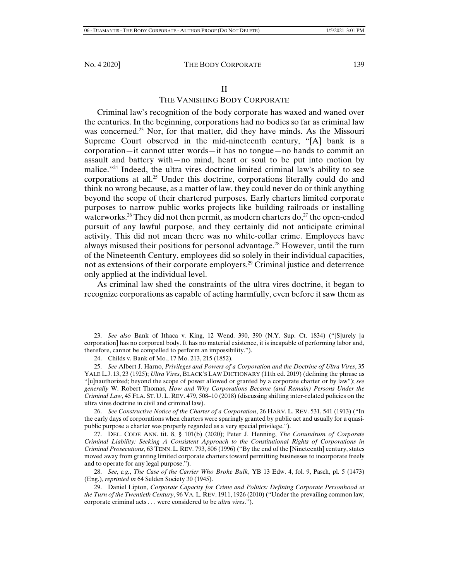## THE VANISHING BODY CORPORATE

Criminal law's recognition of the body corporate has waxed and waned over the centuries. In the beginning, corporations had no bodies so far as criminal law was concerned.<sup>23</sup> Nor, for that matter, did they have minds. As the Missouri Supreme Court observed in the mid-nineteenth century, "[A] bank is a corporation—it cannot utter words—it has no tongue—no hands to commit an assault and battery with—no mind, heart or soul to be put into motion by malice."24 Indeed, the ultra vires doctrine limited criminal law's ability to see corporations at all.<sup>25</sup> Under this doctrine, corporations literally could do and think no wrong because, as a matter of law, they could never do or think anything beyond the scope of their chartered purposes. Early charters limited corporate purposes to narrow public works projects like building railroads or installing waterworks.<sup>26</sup> They did not then permit, as modern charters do,<sup>27</sup> the open-ended pursuit of any lawful purpose, and they certainly did not anticipate criminal activity. This did not mean there was no white-collar crime. Employees have always misused their positions for personal advantage.28 However, until the turn of the Nineteenth Century, employees did so solely in their individual capacities, not as extensions of their corporate employers.<sup>29</sup> Criminal justice and deterrence only applied at the individual level.

As criminal law shed the constraints of the ultra vires doctrine, it began to recognize corporations as capable of acting harmfully, even before it saw them as

 26. *See Constructive Notice of the Charter of a Corporation*, 26 HARV. L. REV. 531, 541 (1913) ("In the early days of corporations when charters were sparingly granted by public act and usually for a quasipublic purpose a charter was properly regarded as a very special privilege.").

 27. DEL. CODE ANN. tit. 8, § 101(b) (2020); Peter J. Henning, *The Conundrum of Corporate Criminal Liability: Seeking A Consistent Approach to the Constitutional Rights of Corporations in Criminal Prosecutions*, 63 TENN. L. REV. 793, 806 (1996) ("By the end of the [Nineteenth] century, states moved away from granting limited corporate charters toward permitting businesses to incorporate freely and to operate for any legal purpose.").

 28. *See*, *e.g.*, *The Case of the Carrier Who Broke Bulk*, YB 13 Edw. 4, fol. 9, Pasch, pl. 5 (1473) (Eng.), *reprinted in* 64 Selden Society 30 (1945).

 <sup>23.</sup> *See also* Bank of Ithaca v. King, 12 Wend. 390, 390 (N.Y. Sup. Ct. 1834) ("[S]urely [a corporation] has no corporeal body. It has no material existence, it is incapable of performing labor and, therefore, cannot be compelled to perform an impossibility.").

 <sup>24.</sup> Childs v. Bank of Mo., 17 Mo. 213, 215 (1852).

 <sup>25.</sup> *See* Albert J. Harno, *Privileges and Powers of a Corporation and the Doctrine of Ultra Vires*, 35 YALE L.J. 13, 23 (1925); *Ultra Vires*, BLACK'S LAW DICTIONARY (11th ed. 2019) (defining the phrase as "[u]nauthorized; beyond the scope of power allowed or granted by a corporate charter or by law"); *see generally* W. Robert Thomas, *How and Why Corporations Became (and Remain) Persons Under the Criminal Law*, 45 FLA. ST. U. L. REV. 479, 508–10 (2018) (discussing shifting inter-related policies on the ultra vires doctrine in civil and criminal law).

 <sup>29.</sup> Daniel Lipton, *Corporate Capacity for Crime and Politics: Defining Corporate Personhood at the Turn of the Twentieth Century*, 96 VA. L. REV. 1911, 1926 (2010) ("Under the prevailing common law, corporate criminal acts . . . were considered to be *ultra vires*.").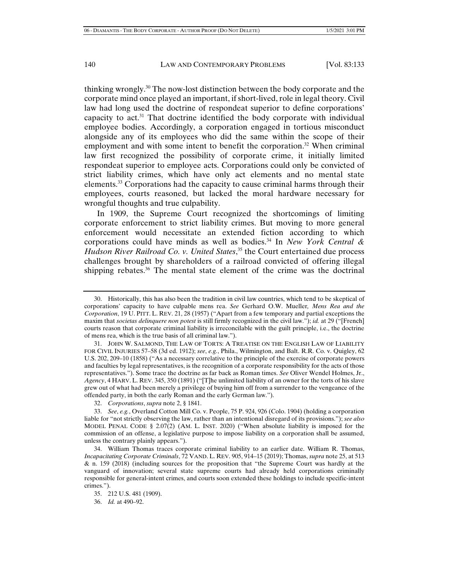thinking wrongly.<sup>30</sup> The now-lost distinction between the body corporate and the corporate mind once played an important, if short-lived, role in legal theory. Civil law had long used the doctrine of respondeat superior to define corporations' capacity to act. $31$  That doctrine identified the body corporate with individual employee bodies. Accordingly, a corporation engaged in tortious misconduct alongside any of its employees who did the same within the scope of their employment and with some intent to benefit the corporation.<sup>32</sup> When criminal law first recognized the possibility of corporate crime, it initially limited respondeat superior to employee acts. Corporations could only be convicted of strict liability crimes, which have only act elements and no mental state elements.33 Corporations had the capacity to cause criminal harms through their employees, courts reasoned, but lacked the moral hardware necessary for wrongful thoughts and true culpability.

In 1909, the Supreme Court recognized the shortcomings of limiting corporate enforcement to strict liability crimes. But moving to more general enforcement would necessitate an extended fiction according to which corporations could have minds as well as bodies.34 In *New York Central & Hudson River Railroad Co. v. United States*, 35 the Court entertained due process challenges brought by shareholders of a railroad convicted of offering illegal shipping rebates.<sup>36</sup> The mental state element of the crime was the doctrinal

 31. JOHN W. SALMOND, THE LAW OF TORTS: A TREATISE ON THE ENGLISH LAW OF LIABILITY FOR CIVIL INJURIES 57–58 (3d ed. 1912); *see*, *e.g.*, Phila., Wilmington, and Balt. R.R. Co. v. Quigley, 62 U.S. 202, 209–10 (1858) ("As a necessary correlative to the principle of the exercise of corporate powers and faculties by legal representatives, is the recognition of a corporate responsibility for the acts of those representatives."). Some trace the doctrine as far back as Roman times. *See* Oliver Wendel Holmes, Jr., *Agency*, 4 HARV. L. REV. 345, 350 (1891) ("[T]he unlimited liability of an owner for the torts of his slave grew out of what had been merely a privilege of buying him off from a surrender to the vengeance of the offended party, in both the early Roman and the early German law.").

32. *Corporations*, *supra* note 2, § 1841.

 33. *See*, *e.g.*, Overland Cotton Mill Co. v. People, 75 P. 924, 926 (Colo. 1904) (holding a corporation liable for "not strictly observing the law, rather than an intentional disregard of its provisions."); *see also* MODEL PENAL CODE § 2.07(2) (AM. L. INST. 2020) ("When absolute liability is imposed for the commission of an offense, a legislative purpose to impose liability on a corporation shall be assumed, unless the contrary plainly appears.").

 34. William Thomas traces corporate criminal liability to an earlier date. William R. Thomas, *Incapacitating Corporate Criminals*, 72 VAND. L. REV. 905, 914–15 (2019); Thomas, *supra* note 25, at 513 & n. 159 (2018) (including sources for the proposition that "the Supreme Court was hardly at the vanguard of innovation; several state supreme courts had already held corporations criminally responsible for general-intent crimes, and courts soon extended these holdings to include specific-intent crimes.").

 <sup>30.</sup> Historically, this has also been the tradition in civil law countries, which tend to be skeptical of corporations' capacity to have culpable mens rea. *See* Gerhard O.W. Mueller*, Mens Rea and the Corporation*, 19 U. PITT. L. REV. 21, 28 (1957) ("Apart from a few temporary and partial exceptions the maxim that *societas delinquere non potest* is still firmly recognized in the civil law."); *id.* at 29 ("[French] courts reason that corporate criminal liability is irreconcilable with the guilt principle, i.e., the doctrine of mens rea, which is the true basis of all criminal law.").

 <sup>35. 212</sup> U.S. 481 (1909).

 <sup>36.</sup> *Id.* at 490–92.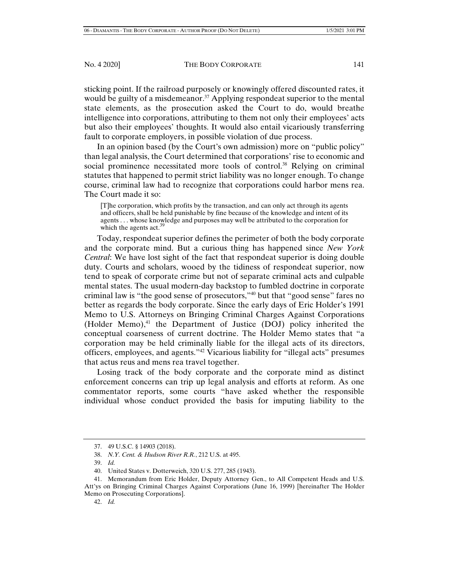sticking point. If the railroad purposely or knowingly offered discounted rates, it would be guilty of a misdemeanor.<sup>37</sup> Applying respondeat superior to the mental state elements, as the prosecution asked the Court to do, would breathe intelligence into corporations, attributing to them not only their employees' acts but also their employees' thoughts. It would also entail vicariously transferring fault to corporate employers, in possible violation of due process.

In an opinion based (by the Court's own admission) more on "public policy" than legal analysis, the Court determined that corporations' rise to economic and social prominence necessitated more tools of control.<sup>38</sup> Relying on criminal statutes that happened to permit strict liability was no longer enough. To change course, criminal law had to recognize that corporations could harbor mens rea. The Court made it so:

[T]he corporation, which profits by the transaction, and can only act through its agents and officers, shall be held punishable by fine because of the knowledge and intent of its agents . . . whose knowledge and purposes may well be attributed to the corporation for which the agents act.<sup>39</sup>

Today, respondeat superior defines the perimeter of both the body corporate and the corporate mind. But a curious thing has happened since *New York Central*: We have lost sight of the fact that respondeat superior is doing double duty. Courts and scholars, wooed by the tidiness of respondeat superior, now tend to speak of corporate crime but not of separate criminal acts and culpable mental states. The usual modern-day backstop to fumbled doctrine in corporate criminal law is "the good sense of prosecutors,"40 but that "good sense" fares no better as regards the body corporate. Since the early days of Eric Holder's 1991 Memo to U.S. Attorneys on Bringing Criminal Charges Against Corporations (Holder Memo), $41$  the Department of Justice (DOJ) policy inherited the conceptual coarseness of current doctrine. The Holder Memo states that "a corporation may be held criminally liable for the illegal acts of its directors, officers, employees, and agents."42 Vicarious liability for "illegal acts" presumes that actus reus and mens rea travel together.

Losing track of the body corporate and the corporate mind as distinct enforcement concerns can trip up legal analysis and efforts at reform. As one commentator reports, some courts "have asked whether the responsible individual whose conduct provided the basis for imputing liability to the

 <sup>37. 49</sup> U.S.C. § 14903 (2018).

 <sup>38.</sup> *N.Y. Cent. & Hudson River R.R.*, 212 U.S. at 495.

 <sup>39.</sup> *Id.* 

 <sup>40.</sup> United States v. Dotterweich, 320 U.S. 277, 285 (1943).

 <sup>41.</sup> Memorandum from Eric Holder, Deputy Attorney Gen., to All Competent Heads and U.S. Att'ys on Bringing Criminal Charges Against Corporations (June 16, 1999) [hereinafter The Holder Memo on Prosecuting Corporations].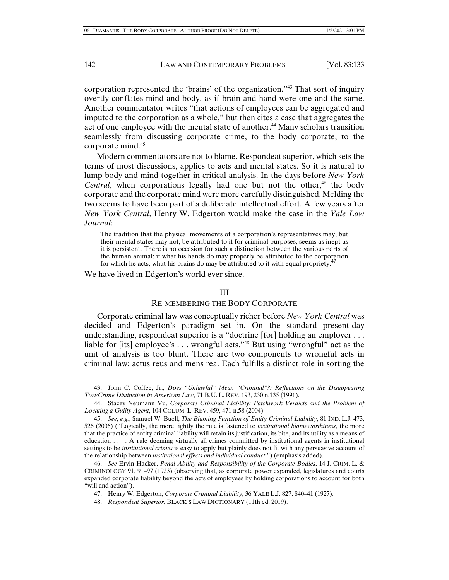corporation represented the 'brains' of the organization."43 That sort of inquiry overtly conflates mind and body, as if brain and hand were one and the same. Another commentator writes "that actions of employees can be aggregated and imputed to the corporation as a whole," but then cites a case that aggregates the act of one employee with the mental state of another.<sup>44</sup> Many scholars transition seamlessly from discussing corporate crime, to the body corporate, to the corporate mind.45

Modern commentators are not to blame. Respondeat superior, which sets the terms of most discussions, applies to acts and mental states. So it is natural to lump body and mind together in critical analysis. In the days before *New York Central*, when corporations legally had one but not the other,<sup>46</sup> the body corporate and the corporate mind were more carefully distinguished. Melding the two seems to have been part of a deliberate intellectual effort. A few years after *New York Central*, Henry W. Edgerton would make the case in the *Yale Law Journal*:

The tradition that the physical movements of a corporation's representatives may, but their mental states may not, be attributed to it for criminal purposes, seems as inept as it is persistent. There is no occasion for such a distinction between the various parts of the human animal; if what his hands do may properly be attributed to the corporation for which he acts, what his brains do may be attributed to it with equal propriety. $47$ 

We have lived in Edgerton's world ever since.

#### III

#### RE-MEMBERING THE BODY CORPORATE

Corporate criminal law was conceptually richer before *New York Central* was decided and Edgerton's paradigm set in. On the standard present-day understanding, respondeat superior is a "doctrine [for] holding an employer . . . liable for [its] employee's . . . wrongful acts."48 But using "wrongful" act as the unit of analysis is too blunt. There are two components to wrongful acts in criminal law: actus reus and mens rea. Each fulfills a distinct role in sorting the

47. Henry W. Edgerton, *Corporate Criminal Liability*, 36 YALE L.J. 827, 840–41 (1927).

 <sup>43.</sup> John C. Coffee, Jr., *Does "Unlawful" Mean "Criminal"?: Reflections on the Disappearing Tort/Crime Distinction in American Law*, 71 B.U. L. REV. 193, 230 n.135 (1991).

 <sup>44.</sup> Stacey Neumann Vu, *Corporate Criminal Liability: Patchwork Verdicts and the Problem of Locating a Guilty Agent*, 104 COLUM. L. REV. 459, 471 n.58 (2004).

 <sup>45.</sup> *See*, *e.g.*, Samuel W. Buell, *The Blaming Function of Entity Criminal Liability*, 81 IND. L.J. 473, 526 (2006) ("Logically, the more tightly the rule is fastened to *institutional blameworthiness*, the more that the practice of entity criminal liability will retain its justification, its bite, and its utility as a means of education . . . . A rule deeming virtually all crimes committed by institutional agents in institutional settings to be *institutional crimes* is easy to apply but plainly does not fit with any persuasive account of the relationship between *institutional effects and individual conduct*.") (emphasis added).

 <sup>46.</sup> *See* Ervin Hacker, *Penal Ability and Responsibility of the Corporate Bodies*, 14 J. CRIM. L. & CRIMINOLOGY 91, 91–97 (1923) (observing that, as corporate power expanded, legislatures and courts expanded corporate liability beyond the acts of employees by holding corporations to account for both "will and action").

 <sup>48.</sup> *Respondeat Superior*, BLACK'S LAW DICTIONARY (11th ed. 2019).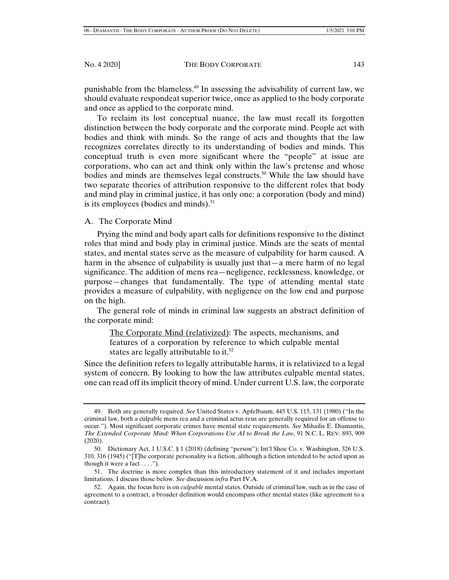punishable from the blameless.<sup>49</sup> In assessing the advisability of current law, we should evaluate respondeat superior twice, once as applied to the body corporate and once as applied to the corporate mind.

To reclaim its lost conceptual nuance, the law must recall its forgotten distinction between the body corporate and the corporate mind. People act with bodies and think with minds. So the range of acts and thoughts that the law recognizes correlates directly to its understanding of bodies and minds. This conceptual truth is even more significant where the "people" at issue are corporations, who can act and think only within the law's pretense and whose bodies and minds are themselves legal constructs.<sup>50</sup> While the law should have two separate theories of attribution responsive to the different roles that body and mind play in criminal justice, it has only one: a corporation (body and mind) is its employees (bodies and minds). $51$ 

## A. The Corporate Mind

Prying the mind and body apart calls for definitions responsive to the distinct roles that mind and body play in criminal justice. Minds are the seats of mental states, and mental states serve as the measure of culpability for harm caused. A harm in the absence of culpability is usually just that—a mere harm of no legal significance. The addition of mens rea—negligence, recklessness, knowledge, or purpose—changes that fundamentally. The type of attending mental state provides a measure of culpability, with negligence on the low end and purpose on the high.

The general role of minds in criminal law suggests an abstract definition of the corporate mind:

The Corporate Mind (relativized): The aspects, mechanisms, and features of a corporation by reference to which culpable mental states are legally attributable to it.<sup>52</sup>

Since the definition refers to legally attributable harms, it is relativized to a legal system of concern. By looking to how the law attributes culpable mental states, one can read off its implicit theory of mind. Under current U.S. law, the corporate

 <sup>49.</sup> Both are generally required. *See* United States v. Apfelbaum, 445 U.S. 115, 131 (1980) ("In the criminal law, both a culpable mens rea and a criminal actus reus are generally required for an offense to occur."). Most significant corporate crimes have mental state requirements. *See* Mihailis E. Diamantis, *The Extended Corporate Mind: When Corporations Use AI to Break the Law*, 91 N.C. L. REV. 893, 909 (2020).

 <sup>50.</sup> Dictionary Act, 1 U.S.C. § 1 (2018) (defining "person"); Int'l Shoe Co. v. Washington, 326 U.S. 310, 316 (1945) ("[T]he corporate personality is a fiction, although a fiction intended to be acted upon as though it were a fact  $\dots$ .").

 <sup>51.</sup> The doctrine is more complex than this introductory statement of it and includes important limitations. I discuss those below. *See* discussion *infra* Part IV.A.

 <sup>52.</sup> Again, the focus here is on *culpable* mental states. Outside of criminal law, such as in the case of agreement to a contract, a broader definition would encompass other mental states (like agreement to a contract).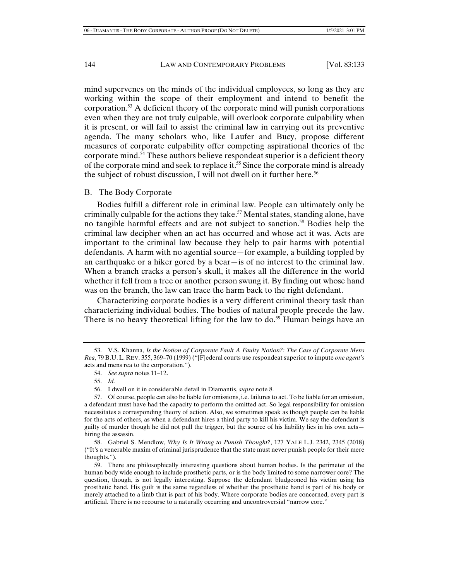mind supervenes on the minds of the individual employees, so long as they are working within the scope of their employment and intend to benefit the corporation.53 A deficient theory of the corporate mind will punish corporations even when they are not truly culpable, will overlook corporate culpability when it is present, or will fail to assist the criminal law in carrying out its preventive agenda. The many scholars who, like Laufer and Bucy, propose different measures of corporate culpability offer competing aspirational theories of the corporate mind.54 These authors believe respondeat superior is a deficient theory of the corporate mind and seek to replace it.<sup>55</sup> Since the corporate mind is already the subject of robust discussion, I will not dwell on it further here.<sup>56</sup>

## B. The Body Corporate

Bodies fulfill a different role in criminal law. People can ultimately only be criminally culpable for the actions they take.<sup>57</sup> Mental states, standing alone, have no tangible harmful effects and are not subject to sanction.58 Bodies help the criminal law decipher when an act has occurred and whose act it was. Acts are important to the criminal law because they help to pair harms with potential defendants. A harm with no agential source—for example, a building toppled by an earthquake or a hiker gored by a bear—is of no interest to the criminal law. When a branch cracks a person's skull, it makes all the difference in the world whether it fell from a tree or another person swung it. By finding out whose hand was on the branch, the law can trace the harm back to the right defendant.

Characterizing corporate bodies is a very different criminal theory task than characterizing individual bodies. The bodies of natural people precede the law. There is no heavy theoretical lifting for the law to do.<sup>59</sup> Human beings have an

56. I dwell on it in considerable detail in Diamantis, *supra* note 8.

 <sup>53.</sup> V.S. Khanna, *Is the Notion of Corporate Fault A Faulty Notion?: The Case of Corporate Mens Rea*, 79 B.U. L. REV. 355, 369–70 (1999) ("[F]ederal courts use respondeat superior to impute *one agent's* acts and mens rea to the corporation.").

 <sup>54.</sup> *See supra* notes 11–12.

 <sup>55.</sup> *Id.* 

 <sup>57.</sup> Of course, people can also be liable for omissions, i.e. failures to act. To be liable for an omission, a defendant must have had the capacity to perform the omitted act. So legal responsibility for omission necessitates a corresponding theory of action. Also, we sometimes speak as though people can be liable for the acts of others, as when a defendant hires a third party to kill his victim. We say the defendant is guilty of murder though he did not pull the trigger, but the source of his liability lies in his own acts hiring the assassin.

 <sup>58.</sup> Gabriel S. Mendlow, *Why Is It Wrong to Punish Thought?*, 127 YALE L.J. 2342, 2345 (2018) ("It's a venerable maxim of criminal jurisprudence that the state must never punish people for their mere thoughts.").

 <sup>59.</sup> There are philosophically interesting questions about human bodies. Is the perimeter of the human body wide enough to include prosthetic parts, or is the body limited to some narrower core? The question, though, is not legally interesting. Suppose the defendant bludgeoned his victim using his prosthetic hand. His guilt is the same regardless of whether the prosthetic hand is part of his body or merely attached to a limb that is part of his body. Where corporate bodies are concerned, every part is artificial. There is no recourse to a naturally occurring and uncontroversial "narrow core."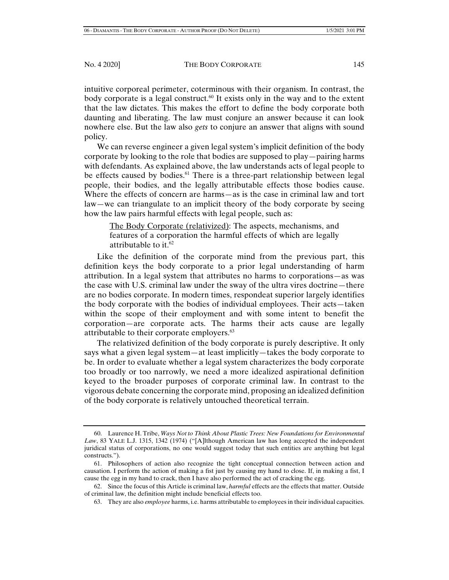intuitive corporeal perimeter, coterminous with their organism. In contrast, the body corporate is a legal construct.<sup>60</sup> It exists only in the way and to the extent that the law dictates. This makes the effort to define the body corporate both daunting and liberating. The law must conjure an answer because it can look nowhere else. But the law also *gets* to conjure an answer that aligns with sound policy.

We can reverse engineer a given legal system's implicit definition of the body corporate by looking to the role that bodies are supposed to play—pairing harms with defendants. As explained above, the law understands acts of legal people to be effects caused by bodies.<sup>61</sup> There is a three-part relationship between legal people, their bodies, and the legally attributable effects those bodies cause. Where the effects of concern are harms—as is the case in criminal law and tort law—we can triangulate to an implicit theory of the body corporate by seeing how the law pairs harmful effects with legal people, such as:

The Body Corporate (relativized): The aspects, mechanisms, and features of a corporation the harmful effects of which are legally attributable to it.<sup>62</sup>

Like the definition of the corporate mind from the previous part, this definition keys the body corporate to a prior legal understanding of harm attribution. In a legal system that attributes no harms to corporations—as was the case with U.S. criminal law under the sway of the ultra vires doctrine—there are no bodies corporate. In modern times, respondeat superior largely identifies the body corporate with the bodies of individual employees. Their acts—taken within the scope of their employment and with some intent to benefit the corporation—are corporate acts. The harms their acts cause are legally attributable to their corporate employers.<sup>63</sup>

The relativized definition of the body corporate is purely descriptive. It only says what a given legal system—at least implicitly—takes the body corporate to be. In order to evaluate whether a legal system characterizes the body corporate too broadly or too narrowly, we need a more idealized aspirational definition keyed to the broader purposes of corporate criminal law. In contrast to the vigorous debate concerning the corporate mind, proposing an idealized definition of the body corporate is relatively untouched theoretical terrain.

 <sup>60.</sup> Laurence H. Tribe, *Ways Not to Think About Plastic Trees: New Foundations for Environmental Law*, 83 YALE L.J. 1315, 1342 (1974) ("[A]lthough American law has long accepted the independent juridical status of corporations, no one would suggest today that such entities are anything but legal constructs.").

 <sup>61.</sup> Philosophers of action also recognize the tight conceptual connection between action and causation. I perform the action of making a fist just by causing my hand to close. If, in making a fist, I cause the egg in my hand to crack, then I have also performed the act of cracking the egg.

 <sup>62.</sup> Since the focus of this Article is criminal law, *harmful* effects are the effects that matter. Outside of criminal law, the definition might include beneficial effects too.

 <sup>63.</sup> They are also *employee* harms, i.e. harms attributable to employees in their individual capacities.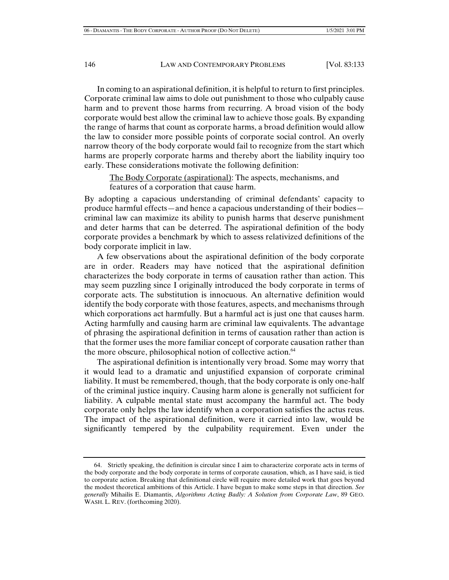In coming to an aspirational definition, it is helpful to return to first principles. Corporate criminal law aims to dole out punishment to those who culpably cause harm and to prevent those harms from recurring. A broad vision of the body corporate would best allow the criminal law to achieve those goals. By expanding the range of harms that count as corporate harms, a broad definition would allow the law to consider more possible points of corporate social control. An overly narrow theory of the body corporate would fail to recognize from the start which harms are properly corporate harms and thereby abort the liability inquiry too early. These considerations motivate the following definition:

The Body Corporate (aspirational): The aspects, mechanisms, and features of a corporation that cause harm.

By adopting a capacious understanding of criminal defendants' capacity to produce harmful effects—and hence a capacious understanding of their bodies criminal law can maximize its ability to punish harms that deserve punishment and deter harms that can be deterred. The aspirational definition of the body corporate provides a benchmark by which to assess relativized definitions of the body corporate implicit in law.

A few observations about the aspirational definition of the body corporate are in order. Readers may have noticed that the aspirational definition characterizes the body corporate in terms of causation rather than action. This may seem puzzling since I originally introduced the body corporate in terms of corporate acts. The substitution is innocuous. An alternative definition would identify the body corporate with those features, aspects, and mechanisms through which corporations act harmfully. But a harmful act is just one that causes harm. Acting harmfully and causing harm are criminal law equivalents. The advantage of phrasing the aspirational definition in terms of causation rather than action is that the former uses the more familiar concept of corporate causation rather than the more obscure, philosophical notion of collective action.<sup>64</sup>

The aspirational definition is intentionally very broad. Some may worry that it would lead to a dramatic and unjustified expansion of corporate criminal liability. It must be remembered, though, that the body corporate is only one-half of the criminal justice inquiry. Causing harm alone is generally not sufficient for liability. A culpable mental state must accompany the harmful act. The body corporate only helps the law identify when a corporation satisfies the actus reus. The impact of the aspirational definition, were it carried into law, would be significantly tempered by the culpability requirement. Even under the

 <sup>64.</sup> Strictly speaking, the definition is circular since I aim to characterize corporate acts in terms of the body corporate and the body corporate in terms of corporate causation, which, as I have said, is tied to corporate action. Breaking that definitional circle will require more detailed work that goes beyond the modest theoretical ambitions of this Article. I have begun to make some steps in that direction. *See generally* Mihailis E. Diamantis, *Algorithms Acting Badly: A Solution from Corporate Law*, 89 GEO. WASH. L. REV. (forthcoming 2020).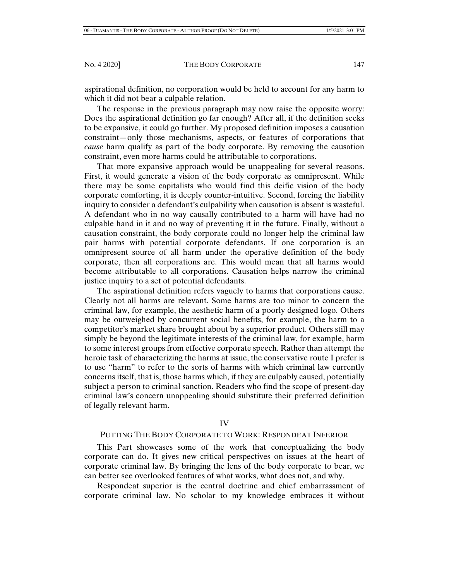aspirational definition, no corporation would be held to account for any harm to which it did not bear a culpable relation.

The response in the previous paragraph may now raise the opposite worry: Does the aspirational definition go far enough? After all, if the definition seeks to be expansive, it could go further. My proposed definition imposes a causation constraint—only those mechanisms, aspects, or features of corporations that *cause* harm qualify as part of the body corporate. By removing the causation constraint, even more harms could be attributable to corporations.

That more expansive approach would be unappealing for several reasons. First, it would generate a vision of the body corporate as omnipresent. While there may be some capitalists who would find this deific vision of the body corporate comforting, it is deeply counter-intuitive. Second, forcing the liability inquiry to consider a defendant's culpability when causation is absent is wasteful. A defendant who in no way causally contributed to a harm will have had no culpable hand in it and no way of preventing it in the future. Finally, without a causation constraint, the body corporate could no longer help the criminal law pair harms with potential corporate defendants. If one corporation is an omnipresent source of all harm under the operative definition of the body corporate, then all corporations are. This would mean that all harms would become attributable to all corporations. Causation helps narrow the criminal justice inquiry to a set of potential defendants.

The aspirational definition refers vaguely to harms that corporations cause. Clearly not all harms are relevant. Some harms are too minor to concern the criminal law, for example, the aesthetic harm of a poorly designed logo. Others may be outweighed by concurrent social benefits, for example, the harm to a competitor's market share brought about by a superior product. Others still may simply be beyond the legitimate interests of the criminal law, for example, harm to some interest groups from effective corporate speech. Rather than attempt the heroic task of characterizing the harms at issue, the conservative route I prefer is to use "harm" to refer to the sorts of harms with which criminal law currently concerns itself, that is, those harms which, if they are culpably caused, potentially subject a person to criminal sanction. Readers who find the scope of present-day criminal law's concern unappealing should substitute their preferred definition of legally relevant harm.

## IV

#### PUTTING THE BODY CORPORATE TO WORK: RESPONDEAT INFERIOR

This Part showcases some of the work that conceptualizing the body corporate can do. It gives new critical perspectives on issues at the heart of corporate criminal law. By bringing the lens of the body corporate to bear, we can better see overlooked features of what works, what does not, and why.

Respondeat superior is the central doctrine and chief embarrassment of corporate criminal law. No scholar to my knowledge embraces it without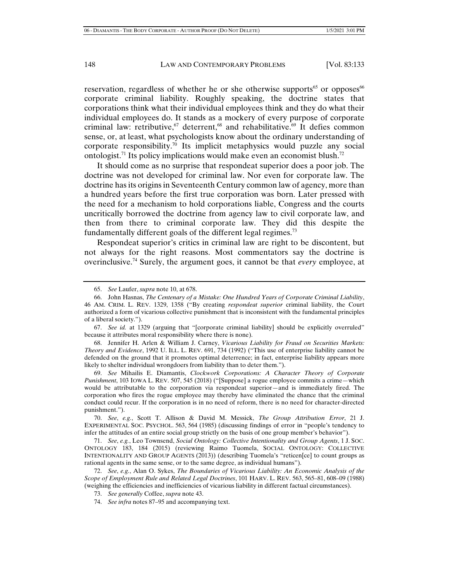reservation, regardless of whether he or she otherwise supports<sup>65</sup> or opposes<sup>66</sup> corporate criminal liability. Roughly speaking, the doctrine states that corporations think what their individual employees think and they do what their individual employees do. It stands as a mockery of every purpose of corporate criminal law: retributive,  $67$  deterrent,  $68$  and rehabilitative.  $69$  It defies common sense, or, at least, what psychologists know about the ordinary understanding of corporate responsibility.<sup>70</sup> Its implicit metaphysics would puzzle any social ontologist.<sup>71</sup> Its policy implications would make even an economist blush.<sup>72</sup>

It should come as no surprise that respondeat superior does a poor job. The doctrine was not developed for criminal law. Nor even for corporate law. The doctrine has its origins in Seventeenth Century common law of agency, more than a hundred years before the first true corporation was born. Later pressed with the need for a mechanism to hold corporations liable, Congress and the courts uncritically borrowed the doctrine from agency law to civil corporate law, and then from there to criminal corporate law. They did this despite the fundamentally different goals of the different legal regimes.<sup>73</sup>

Respondeat superior's critics in criminal law are right to be discontent, but not always for the right reasons. Most commentators say the doctrine is overinclusive.74 Surely, the argument goes, it cannot be that *every* employee, at

 67. *See id.* at 1329 (arguing that "[corporate criminal liability] should be explicitly overruled" because it attributes moral responsibility where there is none).

 68. Jennifer H. Arlen & William J. Carney, *Vicarious Liability for Fraud on Securities Markets: Theory and Evidence*, 1992 U. ILL. L. REV. 691, 734 (1992) ("This use of enterprise liability cannot be defended on the ground that it promotes optimal deterrence; in fact, enterprise liability appears more likely to shelter individual wrongdoers from liability than to deter them.").

 69. *See* Mihailis E. Diamantis, *Clockwork Corporations: A Character Theory of Corporate Punishment*, 103 IOWA L. REV. 507, 545 (2018) ("[Suppose] a rogue employee commits a crime—which would be attributable to the corporation via respondeat superior—and is immediately fired. The corporation who fires the rogue employee may thereby have eliminated the chance that the criminal conduct could recur. If the corporation is in no need of reform, there is no need for character-directed punishment.").

 70. *See*, *e.g.*, Scott T. Allison & David M. Messick, *The Group Attribution Error*, 21 J. EXPERIMENTAL SOC. PSYCHOL. 563, 564 (1985) (discussing findings of error in "people's tendency to infer the attitudes of an entire social group strictly on the basis of one group member's behavior").

 71. *See*, *e.g.*, Leo Townsend, *Social Ontology: Collective Intentionality and Group Agents*, 1 J. SOC. ONTOLOGY 183, 184 (2015) (reviewing Raimo Tuomela, SOCIAL ONTOLOGY: COLLECTIVE INTENTIONALITY AND GROUP AGENTS (2013)) (describing Tuomela's "reticen[ce] to count groups as rational agents in the same sense, or to the same degree, as individual humans").

 72. *See*, *e.g.*, Alan O. Sykes, *The Boundaries of Vicarious Liability: An Economic Analysis of the Scope of Employment Rule and Related Legal Doctrines*, 101 HARV. L. REV. 563, 565–81, 608–09 (1988) (weighing the efficiencies and inefficiencies of vicarious liability in different factual circumstances).

 <sup>65.</sup> *See* Laufer, *supra* note 10, at 678.

 <sup>66.</sup> John Hasnas, *The Centenary of a Mistake: One Hundred Years of Corporate Criminal Liability*, 46 AM. CRIM. L. REV. 1329, 1358 ("By creating *respondeat superior* criminal liability, the Court authorized a form of vicarious collective punishment that is inconsistent with the fundamental principles of a liberal society.").

 <sup>73.</sup> *See generally* Coffee, *supra* note 43.

 <sup>74.</sup> *See infra* notes 87–95 and accompanying text.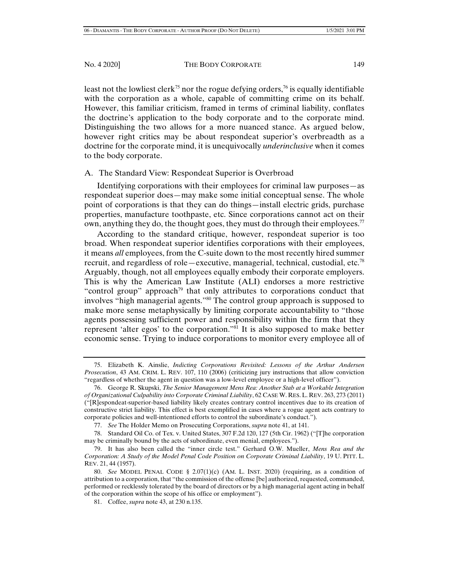least not the lowliest clerk<sup>75</sup> nor the rogue defying orders,<sup>76</sup> is equally identifiable with the corporation as a whole, capable of committing crime on its behalf. However, this familiar criticism, framed in terms of criminal liability, conflates the doctrine's application to the body corporate and to the corporate mind. Distinguishing the two allows for a more nuanced stance. As argued below, however right critics may be about respondeat superior's overbreadth as a doctrine for the corporate mind, it is unequivocally *underinclusive* when it comes to the body corporate.

# A. The Standard View: Respondeat Superior is Overbroad

Identifying corporations with their employees for criminal law purposes—as respondeat superior does—may make some initial conceptual sense. The whole point of corporations is that they can do things—install electric grids, purchase properties, manufacture toothpaste, etc. Since corporations cannot act on their own, anything they do, the thought goes, they must do through their employees.<sup>77</sup>

According to the standard critique, however, respondeat superior is too broad. When respondeat superior identifies corporations with their employees, it means *all* employees, from the C-suite down to the most recently hired summer recruit, and regardless of role—executive, managerial, technical, custodial, etc.<sup>78</sup> Arguably, though, not all employees equally embody their corporate employers. This is why the American Law Institute (ALI) endorses a more restrictive "control group" approach<sup>79</sup> that only attributes to corporations conduct that involves "high managerial agents."80 The control group approach is supposed to make more sense metaphysically by limiting corporate accountability to "those agents possessing sufficient power and responsibility within the firm that they represent 'alter egos' to the corporation."81 It is also supposed to make better economic sense. Trying to induce corporations to monitor every employee all of

 <sup>75.</sup> Elizabeth K. Ainslie, *Indicting Corporations Revisited: Lessons of the Arthur Andersen Prosecution*, 43 AM. CRIM. L. REV. 107, 110 (2006) (criticizing jury instructions that allow conviction "regardless of whether the agent in question was a low-level employee or a high-level officer").

 <sup>76.</sup> George R. Skupski, *The Senior Management Mens Rea: Another Stab at a Workable Integration of Organizational Culpability into Corporate Criminal Liability*, 62 CASE W. RES. L. REV. 263, 273 (2011) ("[R]espondeat-superior-based liability likely creates contrary control incentives due to its creation of constructive strict liability. This effect is best exemplified in cases where a rogue agent acts contrary to corporate policies and well-intentioned efforts to control the subordinate's conduct.").

 <sup>77.</sup> *See* The Holder Memo on Prosecuting Corporations, *supra* note 41, at 141.

 <sup>78.</sup> Standard Oil Co. of Tex. v. United States, 307 F.2d 120, 127 (5th Cir. 1962) ("[T]he corporation may be criminally bound by the acts of subordinate, even menial, employees.").

 <sup>79.</sup> It has also been called the "inner circle test." Gerhard O.W. Mueller, *Mens Rea and the Corporation: A Study of the Model Penal Code Position on Corporate Criminal Liability*, 19 U. PITT. L. REV. 21, 44 (1957).

 <sup>80.</sup> *See* MODEL PENAL CODE § 2.07(1)(c) (AM. L. INST. 2020) (requiring, as a condition of attribution to a corporation, that "the commission of the offense [be] authorized, requested, commanded, performed or recklessly tolerated by the board of directors or by a high managerial agent acting in behalf of the corporation within the scope of his office or employment").

 <sup>81.</sup> Coffee, *supra* note 43, at 230 n.135.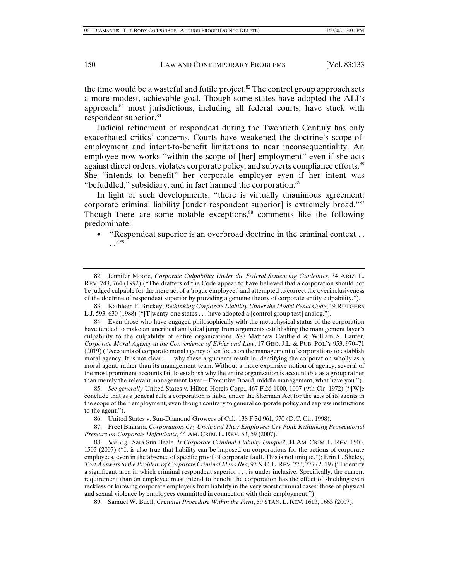the time would be a wasteful and futile project.<sup>82</sup> The control group approach sets a more modest, achievable goal. Though some states have adopted the ALI's approach,<sup>83</sup> most jurisdictions, including all federal courts, have stuck with respondeat superior.84

Judicial refinement of respondeat during the Twentieth Century has only exacerbated critics' concerns. Courts have weakened the doctrine's scope-ofemployment and intent-to-benefit limitations to near inconsequentiality. An employee now works "within the scope of [her] employment" even if she acts against direct orders, violates corporate policy, and subverts compliance efforts.<sup>85</sup> She "intends to benefit" her corporate employer even if her intent was "befuddled," subsidiary, and in fact harmed the corporation. $86$ 

In light of such developments, "there is virtually unanimous agreement: corporate criminal liability [under respondeat superior] is extremely broad."87 Though there are some notable exceptions,<sup>88</sup> comments like the following predominate:

• "Respondeat superior is an overbroad doctrine in the criminal context . .  $\cdot$ .  $^{,89}$ 

 83. Kathleen F. Brickey, *Rethinking Corporate Liability Under the Model Penal Code*, 19 RUTGERS L.J. 593, 630 (1988) ("[T]wenty-one states . . . have adopted a [control group test] analog.").

 84. Even those who have engaged philosophically with the metaphysical status of the corporation have tended to make an uncritical analytical jump from arguments establishing the management layer's culpability to the culpability of entire organizations. *See* Matthew Caulfield & William S. Laufer, *Corporate Moral Agency at the Convenience of Ethics and Law*, 17 GEO. J.L. & PUB. POL'Y 953, 970–71 (2019) ("Accounts of corporate moral agency often focus on the management of corporations to establish moral agency. It is not clear . . . why these arguments result in identifying the corporation wholly as a moral agent, rather than its management team. Without a more expansive notion of agency, several of the most prominent accounts fail to establish why the entire organization is accountable as a group rather than merely the relevant management layer—Executive Board, middle management, what have you.").

 85. *See generally* United States v. Hilton Hotels Corp., 467 F.2d 1000, 1007 (9th Cir. 1972) ("[W]e conclude that as a general rule a corporation is liable under the Sherman Act for the acts of its agents in the scope of their employment, even though contrary to general corporate policy and express instructions to the agent.").

86. United States v. Sun-Diamond Growers of Cal., 138 F.3d 961, 970 (D.C. Cir. 1998).

 87. Preet Bharara, *Corporations Cry Uncle and Their Employees Cry Foul: Rethinking Prosecutorial Pressure on Corporate Defendants*, 44 AM. CRIM. L. REV. 53, 59 (2007).

 88. *See*, *e.g.*, Sara Sun Beale, *Is Corporate Criminal Liability Unique?*, 44 AM. CRIM. L. REV. 1503, 1505 (2007) ("It is also true that liability can be imposed on corporations for the actions of corporate employees, even in the absence of specific proof of corporate fault. This is not unique."); Erin L. Sheley, *Tort Answers to the Problem of Corporate Criminal Mens Rea*, 97 N.C.L. REV. 773, 777 (2019) ("I identify a significant area in which criminal respondeat superior . . . is under inclusive. Specifically, the current requirement than an employee must intend to benefit the corporation has the effect of shielding even reckless or knowing corporate employers from liability in the very worst criminal cases: those of physical and sexual violence by employees committed in connection with their employment.").

89. Samuel W. Buell, *Criminal Procedure Within the Firm*, 59 STAN. L. REV. 1613, 1663 (2007).

 <sup>82.</sup> Jennifer Moore, *Corporate Culpability Under the Federal Sentencing Guidelines*, 34 ARIZ. L. REV. 743, 764 (1992) ("The drafters of the Code appear to have believed that a corporation should not be judged culpable for the mere act of a 'rogue employee,' and attempted to correct the overinclusiveness of the doctrine of respondeat superior by providing a genuine theory of corporate entity culpability.").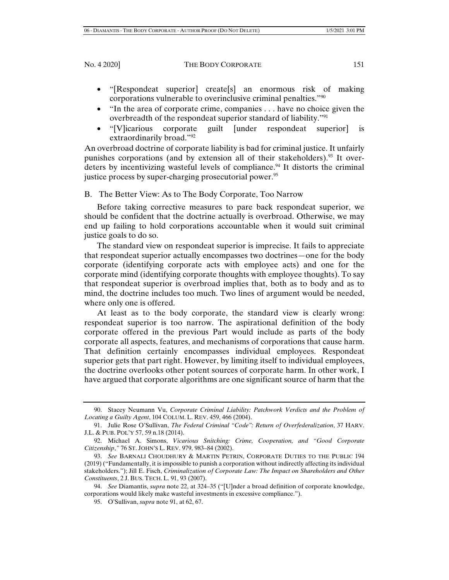- "[Respondeat superior] create[s] an enormous risk of making corporations vulnerable to overinclusive criminal penalties."90
- "In the area of corporate crime, companies . . . have no choice given the overbreadth of the respondeat superior standard of liability."91
- "[V]icarious corporate guilt [under respondeat superior] is extraordinarily broad."92

An overbroad doctrine of corporate liability is bad for criminal justice. It unfairly punishes corporations (and by extension all of their stakeholders).<sup>93</sup> It overdeters by incentivizing wasteful levels of compliance.<sup>94</sup> It distorts the criminal justice process by super-charging prosecutorial power.<sup>95</sup>

B. The Better View: As to The Body Corporate, Too Narrow

Before taking corrective measures to pare back respondeat superior, we should be confident that the doctrine actually is overbroad. Otherwise, we may end up failing to hold corporations accountable when it would suit criminal justice goals to do so.

The standard view on respondeat superior is imprecise. It fails to appreciate that respondeat superior actually encompasses two doctrines—one for the body corporate (identifying corporate acts with employee acts) and one for the corporate mind (identifying corporate thoughts with employee thoughts). To say that respondeat superior is overbroad implies that, both as to body and as to mind, the doctrine includes too much. Two lines of argument would be needed, where only one is offered.

At least as to the body corporate, the standard view is clearly wrong: respondeat superior is too narrow. The aspirational definition of the body corporate offered in the previous Part would include as parts of the body corporate all aspects, features, and mechanisms of corporations that cause harm. That definition certainly encompasses individual employees. Respondeat superior gets that part right. However, by limiting itself to individual employees, the doctrine overlooks other potent sources of corporate harm. In other work, I have argued that corporate algorithms are one significant source of harm that the

 <sup>90.</sup> Stacey Neumann Vu, *Corporate Criminal Liability: Patchwork Verdicts and the Problem of Locating a Guilty Agent*, 104 COLUM. L. REV. 459, 466 (2004).

 <sup>91.</sup> Julie Rose O'Sullivan, *The Federal Criminal "Code": Return of Overfederalization*, 37 HARV. J.L. & PUB. POL'Y 57, 59 n.18 (2014).

 <sup>92.</sup> Michael A. Simons, *Vicarious Snitching: Crime, Cooperation, and "Good Corporate Citizenship*,*"* 76 ST. JOHN'S L. REV. 979, 983–84 (2002).

 <sup>93.</sup> *See* BARNALI CHOUDHURY & MARTIN PETRIN, CORPORATE DUTIES TO THE PUBLIC 194 (2019) ("Fundamentally, it is impossible to punish a corporation without indirectly affecting its individual stakeholders."); Jill E. Fisch, *Criminalization of Corporate Law: The Impact on Shareholders and Other Constituents*, 2 J. BUS. TECH. L. 91, 93 (2007).

 <sup>94.</sup> *See* Diamantis, *supra* note 22, at 324–35 ("[U]nder a broad definition of corporate knowledge, corporations would likely make wasteful investments in excessive compliance.").

 <sup>95.</sup> O'Sullivan, *supra* note 91, at 62, 67.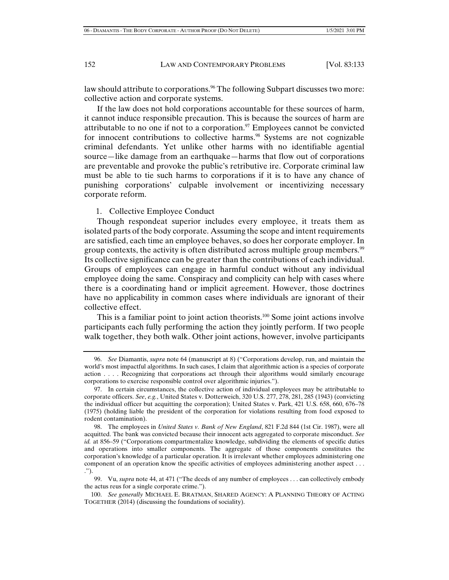law should attribute to corporations.<sup>96</sup> The following Subpart discusses two more: collective action and corporate systems.

If the law does not hold corporations accountable for these sources of harm, it cannot induce responsible precaution. This is because the sources of harm are attributable to no one if not to a corporation. $97$  Employees cannot be convicted for innocent contributions to collective harms.<sup>98</sup> Systems are not cognizable criminal defendants. Yet unlike other harms with no identifiable agential source—like damage from an earthquake—harms that flow out of corporations are preventable and provoke the public's retributive ire. Corporate criminal law must be able to tie such harms to corporations if it is to have any chance of punishing corporations' culpable involvement or incentivizing necessary corporate reform.

#### 1. Collective Employee Conduct

Though respondeat superior includes every employee, it treats them as isolated parts of the body corporate. Assuming the scope and intent requirements are satisfied, each time an employee behaves, so does her corporate employer. In group contexts, the activity is often distributed across multiple group members.<sup>99</sup> Its collective significance can be greater than the contributions of each individual. Groups of employees can engage in harmful conduct without any individual employee doing the same. Conspiracy and complicity can help with cases where there is a coordinating hand or implicit agreement. However, those doctrines have no applicability in common cases where individuals are ignorant of their collective effect.

This is a familiar point to joint action theorists.<sup>100</sup> Some joint actions involve participants each fully performing the action they jointly perform. If two people walk together, they both walk. Other joint actions, however, involve participants

 100. *See generally* MICHAEL E. BRATMAN, SHARED AGENCY: A PLANNING THEORY OF ACTING TOGETHER (2014) (discussing the foundations of sociality).

 <sup>96.</sup> *See* Diamantis, *supra* note 64 (manuscript at 8) ("Corporations develop, run, and maintain the world's most impactful algorithms. In such cases, I claim that algorithmic action is a species of corporate action . . . . Recognizing that corporations act through their algorithms would similarly encourage corporations to exercise responsible control over algorithmic injuries.").

 <sup>97.</sup> In certain circumstances, the collective action of individual employees may be attributable to corporate officers. *See*, *e.g.*, United States v. Dotterweich, 320 U.S. 277, 278, 281, 285 (1943) (convicting the individual officer but acquitting the corporation); United States v. Park, 421 U.S. 658, 660, 676–78 (1975) (holding liable the president of the corporation for violations resulting from food exposed to rodent contamination).

 <sup>98.</sup> The employees in *United States v. Bank of New England*, 821 F.2d 844 (1st Cir. 1987), were all acquitted. The bank was convicted because their innocent acts aggregated to corporate misconduct. *See id.* at 856–59 ("Corporations compartmentalize knowledge, subdividing the elements of specific duties and operations into smaller components. The aggregate of those components constitutes the corporation's knowledge of a particular operation. It is irrelevant whether employees administering one component of an operation know the specific activities of employees administering another aspect . . . .").

 <sup>99.</sup> Vu, *supra* note 44, at 471 ("The deeds of any number of employees . . . can collectively embody the actus reus for a single corporate crime.").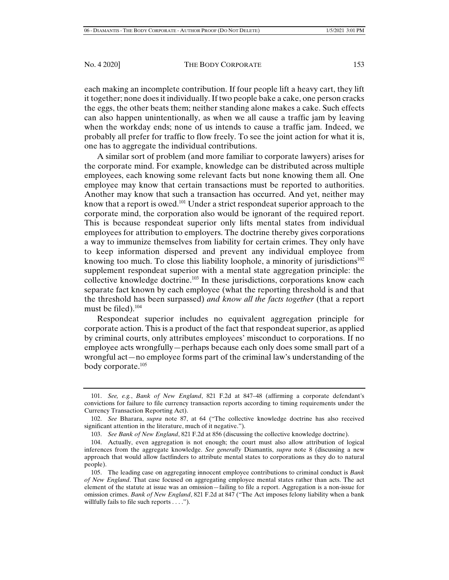each making an incomplete contribution. If four people lift a heavy cart, they lift it together; none does it individually. If two people bake a cake, one person cracks the eggs, the other beats them; neither standing alone makes a cake. Such effects can also happen unintentionally, as when we all cause a traffic jam by leaving when the workday ends; none of us intends to cause a traffic jam. Indeed, we probably all prefer for traffic to flow freely. To see the joint action for what it is, one has to aggregate the individual contributions.

A similar sort of problem (and more familiar to corporate lawyers) arises for the corporate mind. For example, knowledge can be distributed across multiple employees, each knowing some relevant facts but none knowing them all. One employee may know that certain transactions must be reported to authorities. Another may know that such a transaction has occurred. And yet, neither may know that a report is owed.<sup>101</sup> Under a strict respondeat superior approach to the corporate mind, the corporation also would be ignorant of the required report. This is because respondeat superior only lifts mental states from individual employees for attribution to employers. The doctrine thereby gives corporations a way to immunize themselves from liability for certain crimes. They only have to keep information dispersed and prevent any individual employee from knowing too much. To close this liability loophole, a minority of jurisdictions<sup>102</sup> supplement respondeat superior with a mental state aggregation principle: the collective knowledge doctrine.<sup>103</sup> In these jurisdictions, corporations know each separate fact known by each employee (what the reporting threshold is and that the threshold has been surpassed) *and know all the facts together* (that a report must be filed). $104$ 

Respondeat superior includes no equivalent aggregation principle for corporate action. This is a product of the fact that respondeat superior, as applied by criminal courts, only attributes employees' misconduct to corporations. If no employee acts wrongfully—perhaps because each only does some small part of a wrongful act—no employee forms part of the criminal law's understanding of the body corporate.105

 <sup>101.</sup> *See, e.g.*, *Bank of New England*, 821 F.2d at 847–48 (affirming a corporate defendant's convictions for failure to file currency transaction reports according to timing requirements under the Currency Transaction Reporting Act).

 <sup>102.</sup> *See* Bharara, *supra* note 87, at 64 ("The collective knowledge doctrine has also received significant attention in the literature, much of it negative.").

 <sup>103.</sup> *See Bank of New England*, 821 F.2d at 856 (discussing the collective knowledge doctrine).

 <sup>104.</sup> Actually, even aggregation is not enough; the court must also allow attribution of logical inferences from the aggregate knowledge. *See generally* Diamantis, *supra* note 8 (discussing a new approach that would allow factfinders to attribute mental states to corporations as they do to natural people).

 <sup>105.</sup> The leading case on aggregating innocent employee contributions to criminal conduct is *Bank of New England*. That case focused on aggregating employee mental states rather than acts. The act element of the statute at issue was an omission—failing to file a report. Aggregation is a non-issue for omission crimes. *Bank of New England*, 821 F.2d at 847 ("The Act imposes felony liability when a bank willfully fails to file such reports . . . .").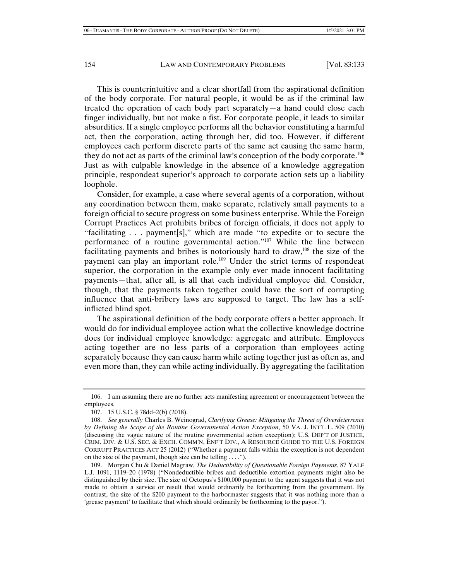This is counterintuitive and a clear shortfall from the aspirational definition of the body corporate. For natural people, it would be as if the criminal law treated the operation of each body part separately—a hand could close each finger individually, but not make a fist. For corporate people, it leads to similar absurdities. If a single employee performs all the behavior constituting a harmful act, then the corporation, acting through her, did too. However, if different employees each perform discrete parts of the same act causing the same harm, they do not act as parts of the criminal law's conception of the body corporate.106 Just as with culpable knowledge in the absence of a knowledge aggregation principle, respondeat superior's approach to corporate action sets up a liability loophole.

Consider, for example, a case where several agents of a corporation, without any coordination between them, make separate, relatively small payments to a foreign official to secure progress on some business enterprise. While the Foreign Corrupt Practices Act prohibits bribes of foreign officials, it does not apply to "facilitating . . . payment[s]," which are made "to expedite or to secure the performance of a routine governmental action."107 While the line between facilitating payments and bribes is notoriously hard to draw,<sup>108</sup> the size of the payment can play an important role.109 Under the strict terms of respondeat superior, the corporation in the example only ever made innocent facilitating payments—that, after all, is all that each individual employee did. Consider, though, that the payments taken together could have the sort of corrupting influence that anti-bribery laws are supposed to target. The law has a selfinflicted blind spot.

The aspirational definition of the body corporate offers a better approach. It would do for individual employee action what the collective knowledge doctrine does for individual employee knowledge: aggregate and attribute. Employees acting together are no less parts of a corporation than employees acting separately because they can cause harm while acting together just as often as, and even more than, they can while acting individually. By aggregating the facilitation

 <sup>106.</sup> I am assuming there are no further acts manifesting agreement or encouragement between the employees.

 <sup>107. 15</sup> U.S.C. § 78dd–2(b) (2018).

 <sup>108.</sup> *See generally* Charles B. Weinograd, *Clarifying Grease: Mitigating the Threat of Overdeterrence by Defining the Scope of the Routine Governmental Action Exception*, 50 VA. J. INT'L L. 509 (2010) (discussing the vague nature of the routine governmental action exception); U.S. DEP'T OF JUSTICE, CRIM. DIV. & U.S. SEC. & EXCH. COMM'N, ENF'T DIV., A RESOURCE GUIDE TO THE U.S. FOREIGN CORRUPT PRACTICES ACT 25 (2012) ("Whether a payment falls within the exception is not dependent on the size of the payment, though size can be telling . . . .").

 <sup>109.</sup> Morgan Chu & Daniel Magraw, *The Deductibility of Questionable Foreign Payments*, 87 YALE L.J. 1091, 1119–20 (1978) ("Nondeductible bribes and deductible extortion payments might also be distinguished by their size. The size of Octopus's \$100,000 payment to the agent suggests that it was not made to obtain a service or result that would ordinarily be forthcoming from the government. By contrast, the size of the \$200 payment to the harbormaster suggests that it was nothing more than a 'grease payment' to facilitate that which should ordinarily be forthcoming to the payor.").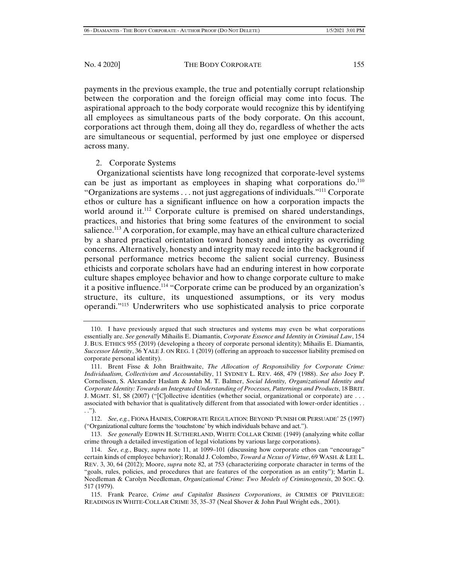payments in the previous example, the true and potentially corrupt relationship between the corporation and the foreign official may come into focus. The aspirational approach to the body corporate would recognize this by identifying all employees as simultaneous parts of the body corporate. On this account, corporations act through them, doing all they do, regardless of whether the acts are simultaneous or sequential, performed by just one employee or dispersed across many.

# 2. Corporate Systems

Organizational scientists have long recognized that corporate-level systems can be just as important as employees in shaping what corporations  $do^{10}$ . "Organizations are systems  $\dots$  not just aggregations of individuals."<sup>111</sup> Corporate ethos or culture has a significant influence on how a corporation impacts the world around it.<sup>112</sup> Corporate culture is premised on shared understandings, practices, and histories that bring some features of the environment to social salience.113 A corporation, for example, may have an ethical culture characterized by a shared practical orientation toward honesty and integrity as overriding concerns. Alternatively, honesty and integrity may recede into the background if personal performance metrics become the salient social currency. Business ethicists and corporate scholars have had an enduring interest in how corporate culture shapes employee behavior and how to change corporate culture to make it a positive influence.114 "Corporate crime can be produced by an organization's structure, its culture, its unquestioned assumptions, or its very modus operandi."115 Underwriters who use sophisticated analysis to price corporate

 <sup>110.</sup> I have previously argued that such structures and systems may even be what corporations essentially are. *See generally* Mihailis E. Diamantis, *Corporate Essence and Identity in Criminal Law*, 154 J. BUS. ETHICS 955 (2019) (developing a theory of corporate personal identity); Mihailis E. Diamantis*, Successor Identity*, 36 YALE J. ON REG. 1 (2019) (offering an approach to successor liability premised on corporate personal identity).

 <sup>111.</sup> Brent Fisse & John Braithwaite, *The Allocation of Responsibility for Corporate Crime: Individualism, Collectivism and Accountability*, 11 SYDNEY L. REV. 468, 479 (1988). *See also* Joey P. Cornelissen, S. Alexander Haslam & John M. T. Balmer, *Social Identity, Organizational Identity and Corporate Identity: Towards an Integrated Understanding of Processes, Patternings and Products*, 18 BRIT. J. MGMT. S1, S8 (2007) ("[C]ollective identities (whether social, organizational or corporate) are . . . associated with behavior that is qualitatively different from that associated with lower-order identities . . . .").

 <sup>112.</sup> *See*, *e.g.*, FIONA HAINES, CORPORATE REGULATION: BEYOND 'PUNISH OR PERSUADE' 25 (1997) ("Organizational culture forms the 'touchstone' by which individuals behave and act.").

 <sup>113.</sup> *See generally* EDWIN H. SUTHERLAND, WHITE COLLAR CRIME (1949) (analyzing white collar crime through a detailed investigation of legal violations by various large corporations).

 <sup>114.</sup> *See*, *e.g.*, Bucy, *supra* note 11, at 1099–101 (discussing how corporate ethos can "encourage" certain kinds of employee behavior); Ronald J. Colombo, *Toward a Nexus of Virtue*, 69 WASH. & LEE L. REV. 3, 30, 64 (2012); Moore, *supra* note 82, at 753 (characterizing corporate character in terms of the "goals, rules, policies, and procedures that are features of the corporation as an entity"); Martin L. Needleman & Carolyn Needleman, *Organizational Crime: Two Models of Criminogenesis*, 20 SOC. Q. 517 (1979).

 <sup>115.</sup> Frank Pearce, *Crime and Capitalist Business Corporations*, *in* CRIMES OF PRIVILEGE: READINGS IN WHITE-COLLAR CRIME 35, 35–37 (Neal Shover & John Paul Wright eds., 2001).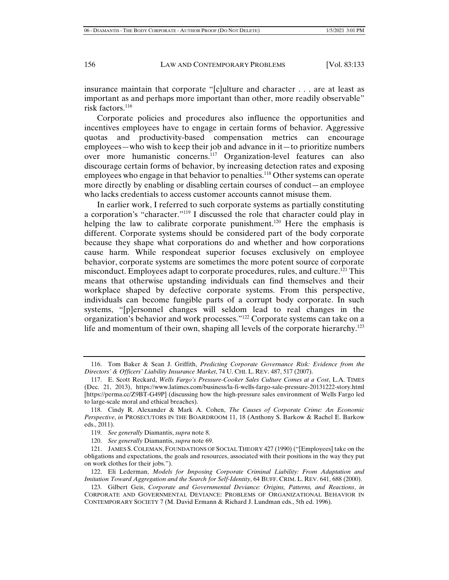insurance maintain that corporate "[c]ulture and character . . . are at least as important as and perhaps more important than other, more readily observable" risk factors.<sup>116</sup>

Corporate policies and procedures also influence the opportunities and incentives employees have to engage in certain forms of behavior. Aggressive quotas and productivity-based compensation metrics can encourage employees—who wish to keep their job and advance in it—to prioritize numbers over more humanistic concerns.117 Organization-level features can also discourage certain forms of behavior, by increasing detection rates and exposing employees who engage in that behavior to penalties.<sup>118</sup> Other systems can operate more directly by enabling or disabling certain courses of conduct—an employee who lacks credentials to access customer accounts cannot misuse them.

In earlier work, I referred to such corporate systems as partially constituting a corporation's "character."119 I discussed the role that character could play in helping the law to calibrate corporate punishment.<sup>120</sup> Here the emphasis is different. Corporate systems should be considered part of the body corporate because they shape what corporations do and whether and how corporations cause harm. While respondeat superior focuses exclusively on employee behavior, corporate systems are sometimes the more potent source of corporate misconduct. Employees adapt to corporate procedures, rules, and culture.<sup>121</sup> This means that otherwise upstanding individuals can find themselves and their workplace shaped by defective corporate systems. From this perspective, individuals can become fungible parts of a corrupt body corporate. In such systems, "[p]ersonnel changes will seldom lead to real changes in the organization's behavior and work processes."122 Corporate systems can take on a life and momentum of their own, shaping all levels of the corporate hierarchy.<sup>123</sup>

 <sup>116.</sup> Tom Baker & Sean J. Griffith, *Predicting Corporate Governance Risk: Evidence from the Directors' & Officers' Liability Insurance Market*, 74 U. CHI. L. REV. 487, 517 (2007).

 <sup>117.</sup> E. Scott Reckard, *Wells Fargo's Pressure-Cooker Sales Culture Comes at a Cost*, L.A. TIMES (Dec. 21, 2013), https://www.latimes.com/business/la-fi-wells-fargo-sale-pressure-20131222-story.html [https://perma.cc/Z9BT-G49P] (discussing how the high-pressure sales environment of Wells Fargo led to large-scale moral and ethical breaches).

 <sup>118.</sup> Cindy R. Alexander & Mark A. Cohen, *The Causes of Corporate Crime: An Economic Perspective*, *in* PROSECUTORS IN THE BOARDROOM 11, 18 (Anthony S. Barkow & Rachel E. Barkow eds., 2011).

 <sup>119.</sup> *See generally* Diamantis, *supra* note 8.

 <sup>120.</sup> *See generally* Diamantis, *supra* note 69.

 <sup>121.</sup> JAMES S. COLEMAN, FOUNDATIONS OF SOCIAL THEORY 427 (1990) ("[Employees] take on the obligations and expectations, the goals and resources, associated with their positions in the way they put on work clothes for their jobs.").

 <sup>122.</sup> Eli Lederman, *Models for Imposing Corporate Criminal Liability: From Adaptation and Imitation Toward Aggregation and the Search for Self-Identity*, 64 BUFF. CRIM. L. REV. 641, 688 (2000).

 <sup>123.</sup> Gilbert Geis, *Corporate and Governmental Deviance: Origins, Patterns, and Reactions*, *in* CORPORATE AND GOVERNMENTAL DEVIANCE: PROBLEMS OF ORGANIZATIONAL BEHAVIOR IN CONTEMPORARY SOCIETY 7 (M. David Ermann & Richard J. Lundman eds., 5th ed. 1996).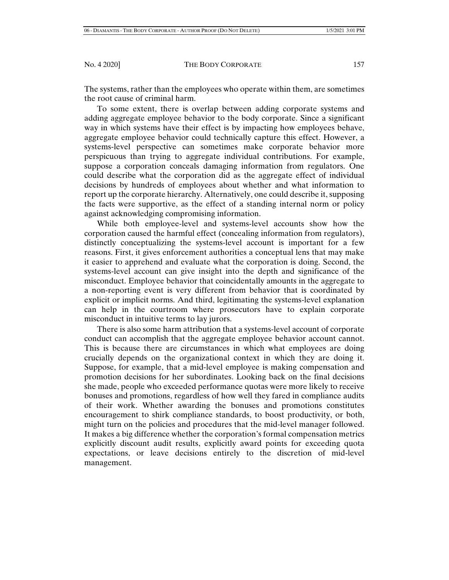The systems, rather than the employees who operate within them, are sometimes the root cause of criminal harm.

To some extent, there is overlap between adding corporate systems and adding aggregate employee behavior to the body corporate. Since a significant way in which systems have their effect is by impacting how employees behave, aggregate employee behavior could technically capture this effect. However, a systems-level perspective can sometimes make corporate behavior more perspicuous than trying to aggregate individual contributions. For example, suppose a corporation conceals damaging information from regulators. One could describe what the corporation did as the aggregate effect of individual decisions by hundreds of employees about whether and what information to report up the corporate hierarchy. Alternatively, one could describe it, supposing the facts were supportive, as the effect of a standing internal norm or policy against acknowledging compromising information.

While both employee-level and systems-level accounts show how the corporation caused the harmful effect (concealing information from regulators), distinctly conceptualizing the systems-level account is important for a few reasons. First, it gives enforcement authorities a conceptual lens that may make it easier to apprehend and evaluate what the corporation is doing. Second, the systems-level account can give insight into the depth and significance of the misconduct. Employee behavior that coincidentally amounts in the aggregate to a non-reporting event is very different from behavior that is coordinated by explicit or implicit norms. And third, legitimating the systems-level explanation can help in the courtroom where prosecutors have to explain corporate misconduct in intuitive terms to lay jurors.

There is also some harm attribution that a systems-level account of corporate conduct can accomplish that the aggregate employee behavior account cannot. This is because there are circumstances in which what employees are doing crucially depends on the organizational context in which they are doing it. Suppose, for example, that a mid-level employee is making compensation and promotion decisions for her subordinates. Looking back on the final decisions she made, people who exceeded performance quotas were more likely to receive bonuses and promotions, regardless of how well they fared in compliance audits of their work. Whether awarding the bonuses and promotions constitutes encouragement to shirk compliance standards, to boost productivity, or both, might turn on the policies and procedures that the mid-level manager followed. It makes a big difference whether the corporation's formal compensation metrics explicitly discount audit results, explicitly award points for exceeding quota expectations, or leave decisions entirely to the discretion of mid-level management.